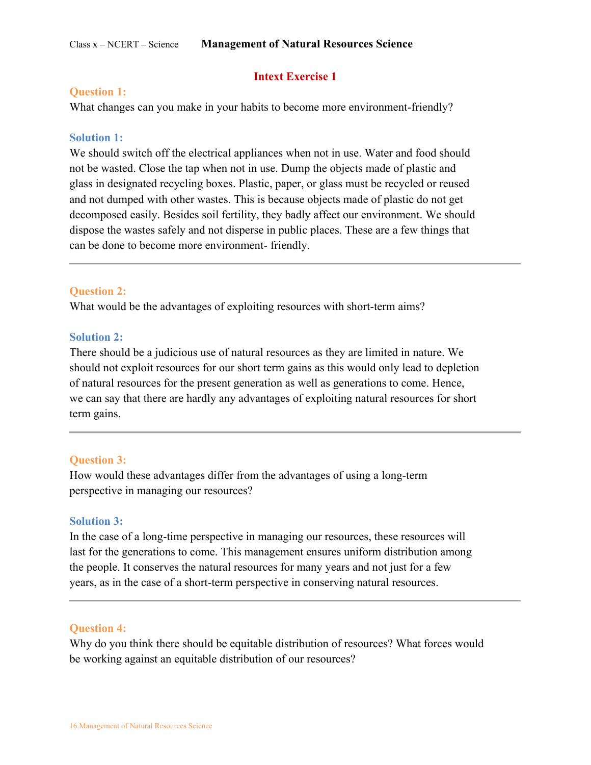#### Class x – NCERT – Science **Management of Natural Resources Science**

# **Intext Exercise 1**

#### **Question 1:**

What changes can you make in your habits to become more environment-friendly?

#### **Solution 1:**

We should switch off the electrical appliances when not in use. Water and food should not be wasted. Close the tap when not in use. Dump the objects made of plastic and glass in designated recycling boxes. Plastic, paper, or glass must be recycled or reused and not dumped with other wastes. This is because objects made of plastic do not get decomposed easily. Besides soil fertility, they badly affect our environment. We should dispose the wastes safely and not disperse in public places. These are a few things that can be done to become more environment- friendly.

#### **Question 2:**

What would be the advantages of exploiting resources with short-term aims?

#### **Solution 2:**

There should be a judicious use of natural resources as they are limited in nature. We should not exploit resources for our short term gains as this would only lead to depletion of natural resources for the present generation as well as generations to come. Hence, we can say that there are hardly any advantages of exploiting natural resources for short term gains.

#### **Question 3:**

How would these advantages differ from the advantages of using a long-term perspective in managing our resources?

#### **Solution 3:**

In the case of a long-time perspective in managing our resources, these resources will last for the generations to come. This management ensures uniform distribution among the people. It conserves the natural resources for many years and not just for a few years, as in the case of a short-term perspective in conserving natural resources.

#### **Question 4:**

Why do you think there should be equitable distribution of resources? What forces would be working against an equitable distribution of our resources?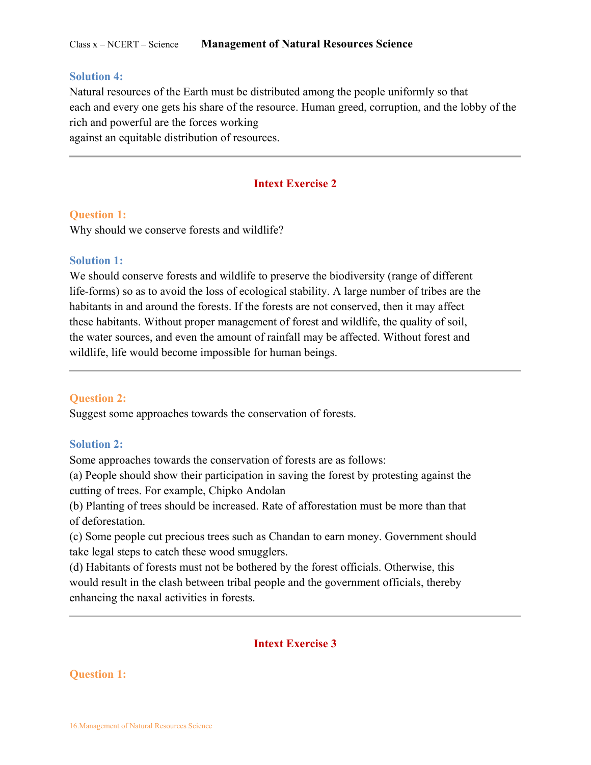#### **Solution 4:**

Natural resources of the Earth must be distributed among the people uniformly so that each and every one gets his share of the resource. Human greed, corruption, and the lobby of the rich and powerful are the forces working

against an equitable distribution of resources.

### **Intext Exercise 2**

#### **Question 1:**

Why should we conserve forests and wildlife?

### **Solution 1:**

We should conserve forests and wildlife to preserve the biodiversity (range of different life-forms) so as to avoid the loss of ecological stability. A large number of tribes are the habitants in and around the forests. If the forests are not conserved, then it may affect these habitants. Without proper management of forest and wildlife, the quality of soil, the water sources, and even the amount of rainfall may be affected. Without forest and wildlife, life would become impossible for human beings.

#### **Question 2:**

Suggest some approaches towards the conservation of forests.

### **Solution 2:**

Some approaches towards the conservation of forests are as follows:

(a) People should show their participation in saving the forest by protesting against the cutting of trees. For example, Chipko Andolan

(b) Planting of trees should be increased. Rate of afforestation must be more than that of deforestation.

(c) Some people cut precious trees such as Chandan to earn money. Government should take legal steps to catch these wood smugglers.

(d) Habitants of forests must not be bothered by the forest officials. Otherwise, this would result in the clash between tribal people and the government officials, thereby enhancing the naxal activities in forests.

# **Intext Exercise 3**

#### **Question 1:**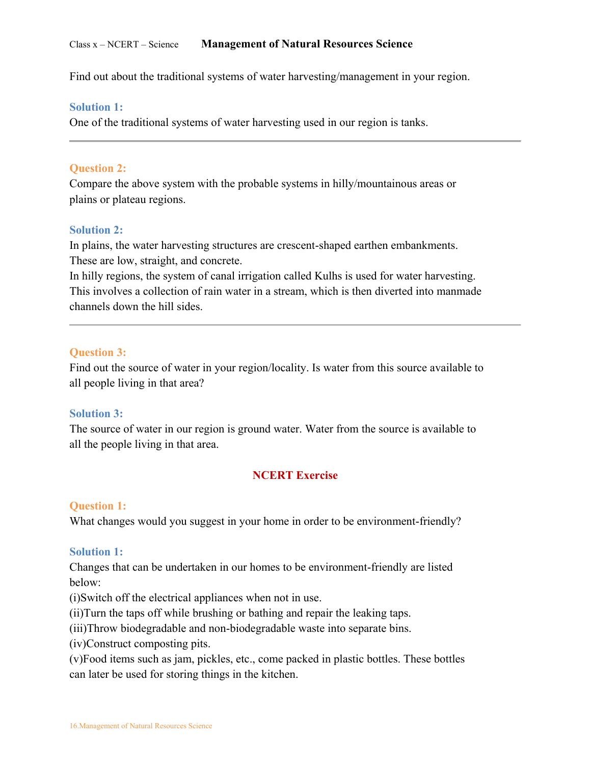Find out about the traditional systems of water harvesting/management in your region.

### **Solution 1:**

One of the traditional systems of water harvesting used in our region is tanks.

### **Question 2:**

Compare the above system with the probable systems in hilly/mountainous areas or plains or plateau regions.

### **Solution 2:**

In plains, the water harvesting structures are crescent-shaped earthen embankments. These are low, straight, and concrete.

In hilly regions, the system of canal irrigation called Kulhs is used for water harvesting. This involves a collection of rain water in a stream, which is then diverted into manmade channels down the hill sides.

# **Question 3:**

Find out the source of water in your region/locality. Is water from this source available to all people living in that area?

### **Solution 3:**

The source of water in our region is ground water. Water from the source is available to all the people living in that area.

# **NCERT Exercise**

### **Question 1:**

What changes would you suggest in your home in order to be environment-friendly?

### **Solution 1:**

Changes that can be undertaken in our homes to be environment-friendly are listed below:

(i)Switch off the electrical appliances when not in use.

(ii)Turn the taps off while brushing or bathing and repair the leaking taps.

(iii)Throw biodegradable and non-biodegradable waste into separate bins.

(iv)Construct composting pits.

(v)Food items such as jam, pickles, etc., come packed in plastic bottles. These bottles can later be used for storing things in the kitchen.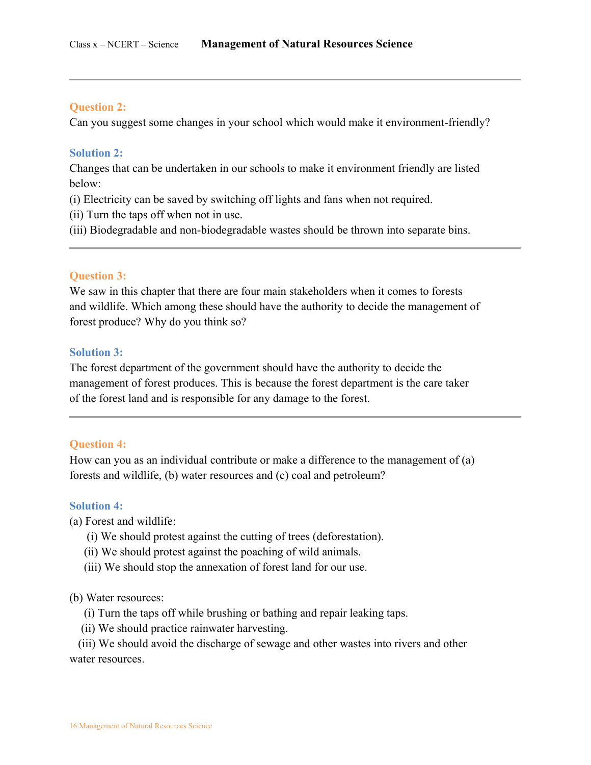#### **Question 2:**

Can you suggest some changes in your school which would make it environment-friendly?

#### **Solution 2:**

Changes that can be undertaken in our schools to make it environment friendly are listed below:

- (i) Electricity can be saved by switching off lights and fans when not required.
- (ii) Turn the taps off when not in use.
- (iii) Biodegradable and non-biodegradable wastes should be thrown into separate bins.

#### **Question 3:**

We saw in this chapter that there are four main stakeholders when it comes to forests and wildlife. Which among these should have the authority to decide the management of forest produce? Why do you think so?

#### **Solution 3:**

The forest department of the government should have the authority to decide the management of forest produces. This is because the forest department is the care taker of the forest land and is responsible for any damage to the forest.

### **Question 4:**

How can you as an individual contribute or make a difference to the management of (a) forests and wildlife, (b) water resources and (c) coal and petroleum?

#### **Solution 4:**

(a) Forest and wildlife:

- (i) We should protest against the cutting of trees (deforestation).
- (ii) We should protest against the poaching of wild animals.
- (iii) We should stop the annexation of forest land for our use.

#### (b) Water resources:

- (i) Turn the taps off while brushing or bathing and repair leaking taps.
- (ii) We should practice rainwater harvesting.

 (iii) We should avoid the discharge of sewage and other wastes into rivers and other water resources.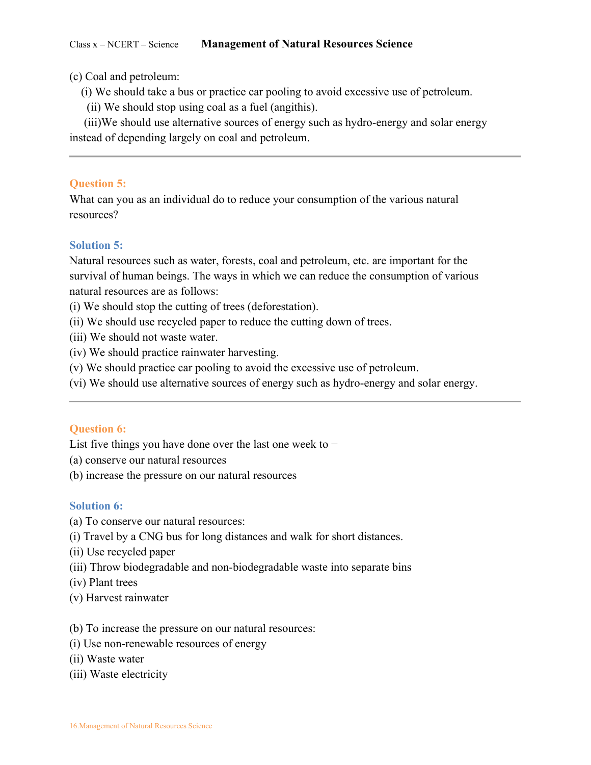(c) Coal and petroleum:

- (i) We should take a bus or practice car pooling to avoid excessive use of petroleum.
- (ii) We should stop using coal as a fuel (angithis).

 (iii)We should use alternative sources of energy such as hydro-energy and solar energy instead of depending largely on coal and petroleum.

# **Question 5:**

What can you as an individual do to reduce your consumption of the various natural resources?

# **Solution 5:**

Natural resources such as water, forests, coal and petroleum, etc. are important for the survival of human beings. The ways in which we can reduce the consumption of various natural resources are as follows:

- (i) We should stop the cutting of trees (deforestation).
- (ii) We should use recycled paper to reduce the cutting down of trees.
- (iii) We should not waste water.
- (iv) We should practice rainwater harvesting.
- (v) We should practice car pooling to avoid the excessive use of petroleum.
- (vi) We should use alternative sources of energy such as hydro-energy and solar energy.

### **Question 6:**

List five things you have done over the last one week to −

- (a) conserve our natural resources
- (b) increase the pressure on our natural resources

### **Solution 6:**

- (a) To conserve our natural resources:
- (i) Travel by a CNG bus for long distances and walk for short distances.
- (ii) Use recycled paper
- (iii) Throw biodegradable and non-biodegradable waste into separate bins
- (iv) Plant trees
- (v) Harvest rainwater

### (b) To increase the pressure on our natural resources:

- (i) Use non-renewable resources of energy
- (ii) Waste water
- (iii) Waste electricity